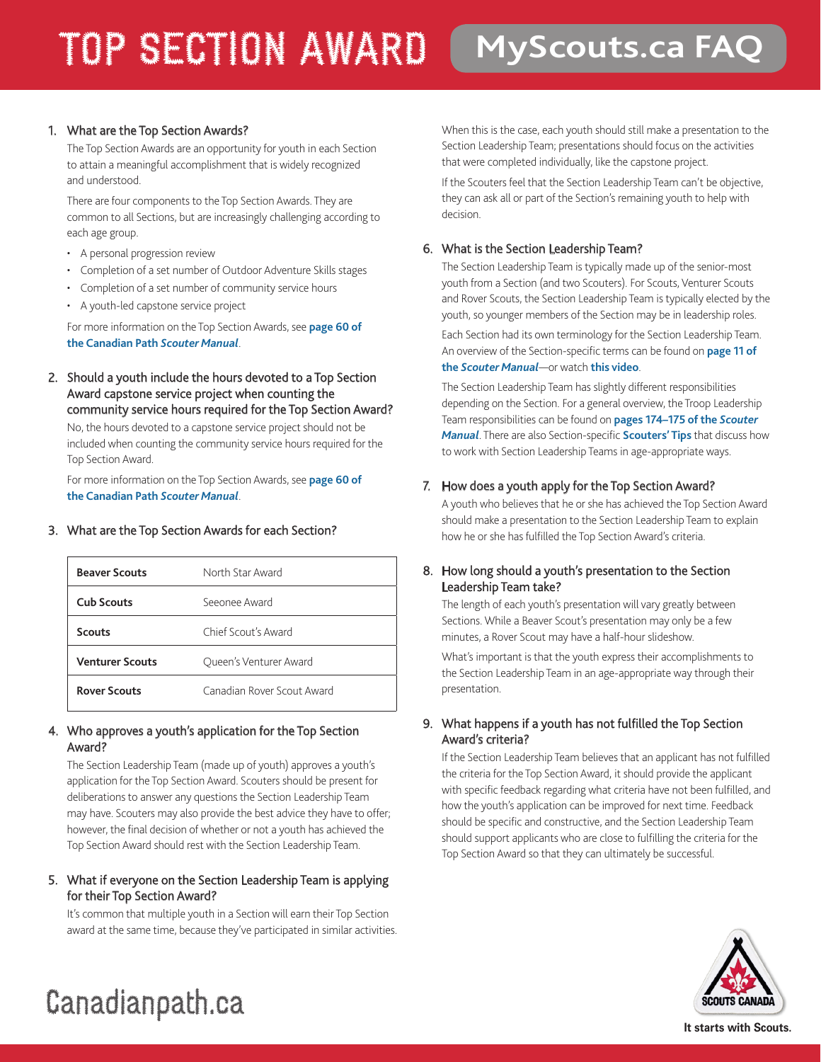### TOP SECTION AWARD **MyScouts.ca FAQ**

#### 1. What are the Top Section Awards?

The Top Section Awards are an opportunity for youth in each Section to attain a meaningful accomplishment that is widely recognized and understood.

There are four components to the Top Section Awards. They are common to all Sections, but are increasingly challenging according to each age group.

- A personal progression review
- Completion of a set number of Outdoor Adventure Skills stages
- Completion of a set number of community service hours
- A youth-led capstone service project

For more information on the Top Section Awards, see **[page 60 of](http://www.scoutinglife.ca/wp-content/uploads/all/scouter-manual.pdf#page=31)  [the Canadian Path](http://www.scoutinglife.ca/wp-content/uploads/all/scouter-manual.pdf#page=31)** *Scouter Manual*.

2. Should a youth include the hours devoted to a Top Section Award capstone service project when counting the community service hours required for the Top Section Award?

No, the hours devoted to a capstone service project should not be included when counting the community service hours required for the Top Section Award.

For more information on the Top Section Awards, see **[page 60 of](http://www.scoutinglife.ca/wp-content/uploads/all/scouter-manual.pdf#page=31)  [the Canadian Path](http://www.scoutinglife.ca/wp-content/uploads/all/scouter-manual.pdf#page=31)** *Scouter Manual*.

#### 3. What are the Top Section Awards for each Section?

| <b>Beaver Scouts</b>   | North Star Award           |
|------------------------|----------------------------|
| <b>Cub Scouts</b>      | Seeonee Award              |
| <b>Scouts</b>          | Chief Scout's Award        |
| <b>Venturer Scouts</b> | Oueen's Venturer Award     |
| <b>Rover Scouts</b>    | Canadian Rover Scout Award |

#### 4. Who approves a youth's application for the Top Section Award?

The Section Leadership Team (made up of youth) approves a youth's application for the Top Section Award. Scouters should be present for deliberations to answer any questions the Section Leadership Team may have. Scouters may also provide the best advice they have to offer; however, the final decision of whether or not a youth has achieved the Top Section Award should rest with the Section Leadership Team.

5. What if everyone on the Section Leadership Team is applying for their Top Section Award?

It's common that multiple youth in a Section will earn their Top Section award at the same time, because they've participated in similar activities. When this is the case, each youth should still make a presentation to the Section Leadership Team; presentations should focus on the activities that were completed individually, like the capstone project.

If the Scouters feel that the Section Leadership Team can't be objective, they can ask all or part of the Section's remaining youth to help with decision.

#### 6. What is the Section Leadership Team?

The Section Leadership Team is typically made up of the senior-most youth from a Section (and two Scouters). For Scouts, Venturer Scouts and Rover Scouts, the Section Leadership Team is typically elected by the youth, so younger members of the Section may be in leadership roles.

Each Section had its own terminology for the Section Leadership Team. An overview of the Section-specific terms can be found on **[page 11 of](http://www.scouts.ca/wp-content/uploads/scouters/scouter-manual.pdf#page=6)  the** *[Scouter Manual](http://www.scouts.ca/wp-content/uploads/scouters/scouter-manual.pdf#page=6)*—or watch **[this video](https://www.youtube.com/watch?v=B1kzgGqGN2A&feature=youtu.be)**.

The Section Leadership Team has slightly different responsibilities depending on the Section. For a general overview, the Troop Leadership Team responsibilities can be found on **[pages 174–175 of the](http://www.scouts.ca/wp-content/uploads/scouters/scouter-manual.pdf#page=88)** *Scouter [Manual](http://www.scouts.ca/wp-content/uploads/scouters/scouter-manual.pdf#page=88)*. There are also Section-specific **[Scouters' Tips](http://www.scouts.ca/wp-content/uploads/st/st26-s-yl-effective-troop-leadership.pdf)** that discuss how to work with Section Leadership Teams in age-appropriate ways.

#### 7. How does a youth apply for the Top Section Award?

A youth who believes that he or she has achieved the Top Section Award should make a presentation to the Section Leadership Team to explain how he or she has fulfilled the Top Section Award's criteria.

#### 8. How long should a youth's presentation to the Section Leadership Team take?

The length of each youth's presentation will vary greatly between Sections. While a Beaver Scout's presentation may only be a few minutes, a Rover Scout may have a half-hour slideshow.

What's important is that the youth express their accomplishments to the Section Leadership Team in an age-appropriate way through their presentation.

#### 9. What happens if a youth has not fulfilled the Top Section Award's criteria?

If the Section Leadership Team believes that an applicant has not fulfilled the criteria for the Top Section Award, it should provide the applicant with specific feedback regarding what criteria have not been fulfilled, and how the youth's application can be improved for next time. Feedback should be specific and constructive, and the Section Leadership Team should support applicants who are close to fulfilling the criteria for the Top Section Award so that they can ultimately be successful.



## Canadianpath.ca

**It starts with Scouts.**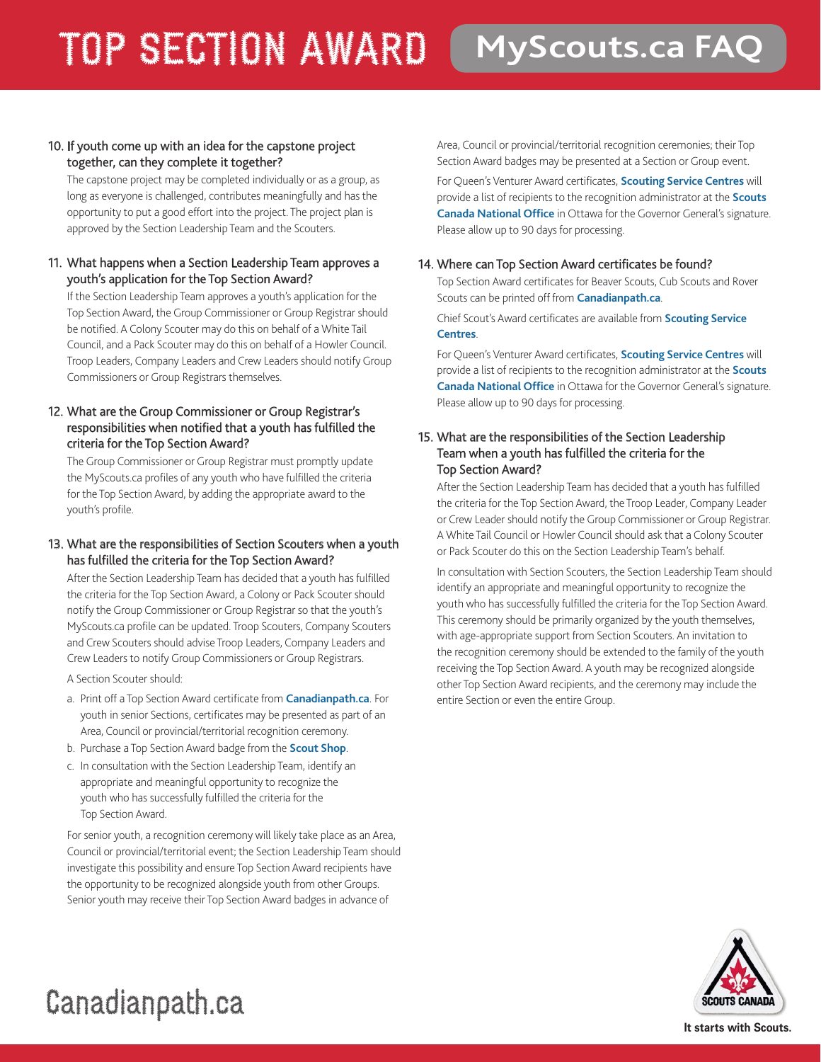## TOP SECTION AWARD **MyScouts.ca FAQ**

#### 10. If youth come up with an idea for the capstone project together, can they complete it together?

The capstone project may be completed individually or as a group, as long as everyone is challenged, contributes meaningfully and has the opportunity to put a good effort into the project. The project plan is approved by the Section Leadership Team and the Scouters.

#### 11. What happens when a Section Leadership Team approves a youth's application for the Top Section Award?

If the Section Leadership Team approves a youth's application for the Top Section Award, the Group Commissioner or Group Registrar should be notified. A Colony Scouter may do this on behalf of a White Tail Council, and a Pack Scouter may do this on behalf of a Howler Council. Troop Leaders, Company Leaders and Crew Leaders should notify Group Commissioners or Group Registrars themselves.

#### 12. What are the Group Commissioner or Group Registrar's responsibilities when notified that a youth has fulfilled the criteria for the Top Section Award?

The Group Commissioner or Group Registrar must promptly update the MyScouts.ca profiles of any youth who have fulfilled the criteria for the Top Section Award, by adding the appropriate award to the youth's profile.

#### 13. What are the responsibilities of Section Scouters when a youth has fulfilled the criteria for the Top Section Award?

After the Section Leadership Team has decided that a youth has fulfilled the criteria for the Top Section Award, a Colony or Pack Scouter should notify the Group Commissioner or Group Registrar so that the youth's MyScouts.ca profile can be updated. Troop Scouters, Company Scouters and Crew Scouters should advise Troop Leaders, Company Leaders and Crew Leaders to notify Group Commissioners or Group Registrars.

A Section Scouter should:

- a. Print off a Top Section Award certificate from **[Canadianpath.ca](http://www.scouts.ca/program/canadianpath/)**. For youth in senior Sections, certificates may be presented as part of an Area, Council or provincial/territorial recognition ceremony.
- b. Purchase a Top Section Award badge from the **[Scout Shop](http://scoutshop.ca/Catalogue/scout-shop/shop-canadian-path/top-awards---all-sections)**.
- c. In consultation with the Section Leadership Team, identify an appropriate and meaningful opportunity to recognize the youth who has successfully fulfilled the criteria for the Top Section Award.

For senior youth, a recognition ceremony will likely take place as an Area, Council or provincial/territorial event; the Section Leadership Team should investigate this possibility and ensure Top Section Award recipients have the opportunity to be recognized alongside youth from other Groups. Senior youth may receive their Top Section Award badges in advance of

Area, Council or provincial/territorial recognition ceremonies; their Top Section Award badges may be presented at a Section or Group event.

For Queen's Venturer Award certificates, **[Scouting Service Centres](http://www.scouts.ca/about/contact/)** will provide a list of recipients to the recognition administrator at the **[Scouts](http://www.scouts.ca/about/contact/)  [Canada National Office](http://www.scouts.ca/about/contact/)** in Ottawa for the Governor General's signature. Please allow up to 90 days for processing.

#### 14. Where can Top Section Award certificates be found?

Top Section Award certificates for Beaver Scouts, Cub Scouts and Rover Scouts can be printed off from **[Canadianpath.ca](http://www.canadianpath.ca)**.

Chief Scout's Award certificates are available from **[Scouting Service](http://www.scouts.ca/about/contact/)  [Centres](http://www.scouts.ca/about/contact/)**.

For Queen's Venturer Award certificates, **[Scouting Service Centres](http://www.scouts.ca/about/contact/)** will provide a list of recipients to the recognition administrator at the **[Scouts](http://www.scouts.ca/about/contact/)  [Canada National Office](http://www.scouts.ca/about/contact/)** in Ottawa for the Governor General's signature. Please allow up to 90 days for processing.

#### 15. What are the responsibilities of the Section Leadership Team when a youth has fulfilled the criteria for the Top Section Award?

After the Section Leadership Team has decided that a youth has fulfilled the criteria for the Top Section Award, the Troop Leader, Company Leader or Crew Leader should notify the Group Commissioner or Group Registrar. A White Tail Council or Howler Council should ask that a Colony Scouter or Pack Scouter do this on the Section Leadership Team's behalf.

In consultation with Section Scouters, the Section Leadership Team should identify an appropriate and meaningful opportunity to recognize the youth who has successfully fulfilled the criteria for the Top Section Award. This ceremony should be primarily organized by the youth themselves, with age-appropriate support from Section Scouters. An invitation to the recognition ceremony should be extended to the family of the youth receiving the Top Section Award. A youth may be recognized alongside other Top Section Award recipients, and the ceremony may include the entire Section or even the entire Group.



### Canadianpath.ca